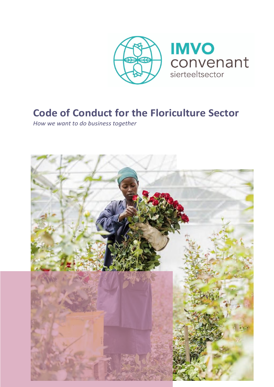

**IMVO** convenant sierteeltsector

# **Code of Conduct for the Floriculture Sector**

*How we want to do business together*

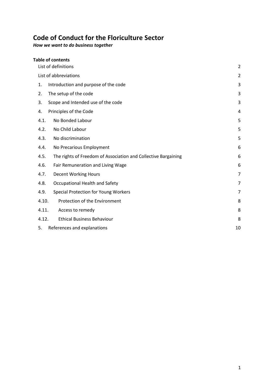# **Code of Conduct for the Floriculture Sector**

*How we want to do business together*

| <b>Table of contents</b>                                               |                |
|------------------------------------------------------------------------|----------------|
| List of definitions                                                    |                |
| List of abbreviations                                                  |                |
| Introduction and purpose of the code<br>1.                             | 3              |
| The setup of the code<br>2.                                            | 3              |
| Scope and Intended use of the code<br>3.                               | 3              |
| Principles of the Code<br>4.                                           | 4              |
| No Bonded Labour<br>4.1.                                               | 5              |
| 4.2.<br>No Child Labour                                                | 5              |
| 4.3.<br>No discrimination                                              | 5              |
| No Precarious Employment<br>4.4.                                       | 6              |
| 4.5.<br>The rights of Freedom of Association and Collective Bargaining | 6              |
| Fair Remuneration and Living Wage<br>4.6.                              | 6              |
| 4.7.<br><b>Decent Working Hours</b>                                    | $\overline{7}$ |
| 4.8.<br>Occupational Health and Safety                                 | 7              |
| <b>Special Protection for Young Workers</b><br>4.9.                    | $\overline{7}$ |
| 4.10.<br>Protection of the Environment                                 | 8              |
| 4.11.<br>Access to remedy                                              | 8              |
| 4.12.<br><b>Ethical Business Behaviour</b>                             | 8              |
| 5.<br>References and explanations                                      | 10             |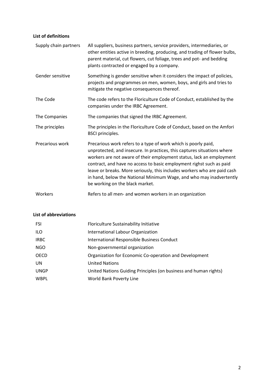# <span id="page-2-0"></span>**List of definitions**

| Supply chain partners | All suppliers, business partners, service providers, intermediaries, or<br>other entities active in breeding, producing, and trading of flower bulbs,<br>parent material, cut flowers, cut foliage, trees and pot- and bedding<br>plants contracted or engaged by a company.                                                                                                                                                                                                    |
|-----------------------|---------------------------------------------------------------------------------------------------------------------------------------------------------------------------------------------------------------------------------------------------------------------------------------------------------------------------------------------------------------------------------------------------------------------------------------------------------------------------------|
| Gender sensitive      | Something is gender sensitive when it considers the impact of policies,<br>projects and programmes on men, women, boys, and girls and tries to<br>mitigate the negative consequences thereof.                                                                                                                                                                                                                                                                                   |
| The Code              | The code refers to the Floriculture Code of Conduct, established by the<br>companies under the IRBC Agreement.                                                                                                                                                                                                                                                                                                                                                                  |
| The Companies         | The companies that signed the IRBC Agreement.                                                                                                                                                                                                                                                                                                                                                                                                                                   |
| The principles        | The principles in the Floriculture Code of Conduct, based on the Amfori<br><b>BSCI</b> principles.                                                                                                                                                                                                                                                                                                                                                                              |
| Precarious work       | Precarious work refers to a type of work which is poorly paid,<br>unprotected, and insecure. In practices, this captures situations where<br>workers are not aware of their employment status, lack an employment<br>contract, and have no access to basic employment righst such as paid<br>leave or breaks. More seriously, this includes workers who are paid cash<br>in hand, below the National Minimum Wage, and who may inadvertently<br>be working on the black market. |
| Workers               | Refers to all men- and women workers in an organization                                                                                                                                                                                                                                                                                                                                                                                                                         |

# <span id="page-2-1"></span>**List of abbreviations**

| <b>FSI</b>  | Floriculture Sustainability Initiative                           |
|-------------|------------------------------------------------------------------|
| <b>ILO</b>  | International Labour Organization                                |
| <b>IRBC</b> | International Responsible Business Conduct                       |
| NGO         | Non-governmental organization                                    |
| OECD        | Organization for Economic Co-operation and Development           |
| <b>UN</b>   | <b>United Nations</b>                                            |
| <b>UNGP</b> | United Nations Guiding Principles (on business and human rights) |
| <b>WBPL</b> | World Bank Poverty Line                                          |
|             |                                                                  |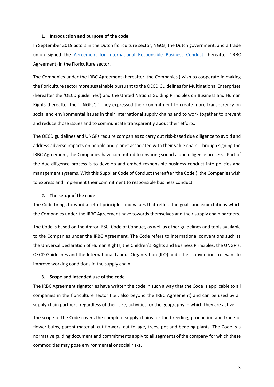#### <span id="page-3-0"></span>**1. Introduction and purpose of the code**

In September 2019 actors in the Dutch floriculture sector, NGOs, the Dutch government, and a trade union signed the [Agreement for International Responsible Business Conduct](https://www.idhsustainabletrade.com/initiative/irbc-agreement-floricultural-sector/https:/www.idhsustainabletrade.com/initiative/irbc-agreement-floricultural-sector/) (hereafter 'IRBC Agreement) in the Floriculture sector.

The Companies under the IRBC Agreement (hereafter 'the Companies') wish to cooperate in making the floriculture sector more sustainable pursuant to the OECD Guidelines for Multinational Enterprises (hereafter the 'OECD guidelines') and the United Nations Guiding Principles on Business and Human Rights (hereafter the 'UNGPs').` They expressed their commitment to create more transparency on social and environmental issues in their international supply chains and to work together to prevent and reduce those issues and to communicate transparently about their efforts.

The OECD guidelines and UNGPs require companies to carry out risk-based due diligence to avoid and address adverse impacts on people and planet associated with their value chain. Through signing the IRBC Agreement, the Companies have committed to ensuring sound a due diligence process. Part of the due diligence process is to develop and embed responsible business conduct into policies and management systems. With this Supplier Code of Conduct (hereafter 'the Code'), the Companies wish to express and implement their commitment to responsible business conduct.

#### <span id="page-3-1"></span>**2. The setup of the code**

The Code brings forward a set of principles and values that reflect the goals and expectations which the Companies under the IRBC Agreement have towards themselves and their supply chain partners.

The Code is based on the Amfori BSCI Code of Conduct, as well as other guidelines and tools available to the Companies under the IRBC Agreement. The Code refers to international conventions such as the Universal Declaration of Human Rights, the Children's Rights and Business Principles, the UNGP's, OECD Guidelines and the International Labour Organization (ILO) and other conventions relevant to improve working conditions in the supply chain.

#### <span id="page-3-2"></span>**3. Scope and Intended use of the code**

The IRBC Agreement signatories have written the code in such a way that the Code is applicable to all companies in the floriculture sector (i.e., also beyond the IRBC Agreement) and can be used by all supply chain partners, regardless of their size, activities, or the geography in which they are active.

The scope of the Code covers the complete supply chains for the breeding, production and trade of flower bulbs, parent material, cut flowers, cut foliage, trees, pot and bedding plants. The Code is a normative guiding document and commitments apply to all segments of the company for which these commodities may pose environmental or social risks.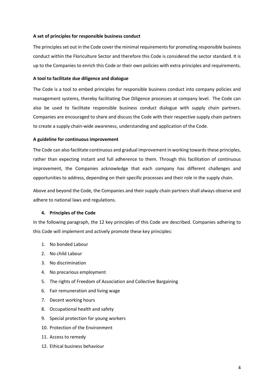#### **A set of principles for responsible business conduct**

The principles set out in the Code cover the minimal requirements for promoting responsible business conduct within the Floriculture Sector and therefore this Code is considered the sector standard. It is up to the Companies to enrich this Code or their own policies with extra principles and requirements.

#### **A tool to facilitate due diligence and dialogue**

The Code is a tool to embed principles for responsible business conduct into company policies and management systems, thereby facilitating Due Diligence processes at company level. The Code can also be used to facilitate responsible business conduct dialogue with supply chain partners. Companies are encouraged to share and discuss the Code with their respective supply chain partners to create a supply chain-wide awareness, understanding and application of the Code.

#### **A guideline for continuous improvement**

The Code can also facilitate continuous and gradual improvement in working towards these principles, rather than expecting instant and full adherence to them. Through this facilitation of continuous improvement, the Companies acknowledge that each company has different challenges and opportunities to address, depending on their specific processes and their role in the supply chain.

Above and beyond the Code, the Companies and their supply chain partners shall always observe and adhere to national laws and regulations.

#### <span id="page-4-0"></span>**4. Principles of the Code**

In the following paragraph, the 12 key principles of this Code are described. Companies adhering to this Code will implement and actively promote these key principles:

- 1. No bonded Labour
- 2. No child Labour
- 3. No discrimination
- 4. No precarious employment
- 5. The rights of Freedom of Association and Collective Bargaining
- 6. Fair remuneration and living wage
- 7. Decent working hours
- 8. Occupational health and safety
- 9. Special protection for young workers
- 10. Protection of the Environment
- 11. Access to remedy
- 12. Ethical business behaviour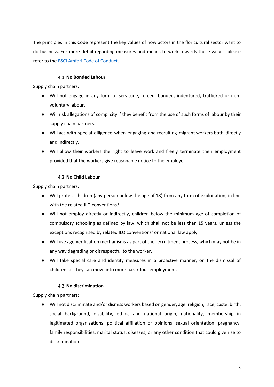The principles in this Code represent the key values of how actors in the floricultural sector want to do business. For more detail regarding measures and means to work towards these values, please refer to the [BSCI Amfori Code of Conduct.](chrome-extension://efaidnbmnnnibpcajpcglclefindmkaj/viewer.html?pdfurl=https%3A%2F%2Fwww.amfori.org%2Fsites%2Fdefault%2Ffiles%2Famfori%2520BSCI%2520COC%2520UK_0.pdf&clen=95436&chunk=true)

# 4.1.**No Bonded Labour**

<span id="page-5-0"></span>Supply chain partners:

- Will not engage in any form of servitude, forced, bonded, indentured, trafficked or nonvoluntary labour.
- Will risk allegations of complicity if they benefit from the use of such forms of labour by their supply chain partners.
- Will act with special diligence when engaging and recruiting migrant workers both directly and indirectly.
- Will allow their workers the right to leave work and freely terminate their employment provided that the workers give reasonable notice to the employer.

# 4.2.**No Child Labour**

<span id="page-5-1"></span>Supply chain partners:

- Will protect children (any person below the age of 18) from any form of exploitation, in line with the related ILO conventions.<sup>1</sup>
- Will not employ directly or indirectly, children below the minimum age of completion of compulsory schooling as defined by law, which shall not be less than 15 years, unless the exceptions recognised by related ILO conventions<sup>ii</sup> or national law apply.
- Will use age-verification mechanisms as part of the recruitment process, which may not be in any way degrading or disrespectful to the worker.
- Will take special care and identify measures in a proactive manner, on the dismissal of children, as they can move into more hazardous employment.

# 4.3.**No discrimination**

<span id="page-5-2"></span>Supply chain partners:

● Will not discriminate and/or dismiss workers based on gender, age, religion, race, caste, birth, social background, disability, ethnic and national origin, nationality, membership in legitimated organisations, political affiliation or opinions, sexual orientation, pregnancy, family responsibilities, marital status, diseases, or any other condition that could give rise to discrimination.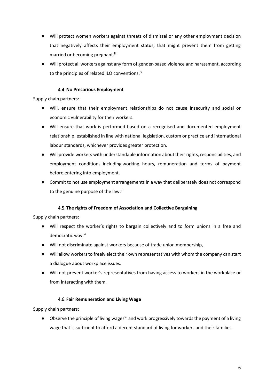- Will protect women workers against threats of dismissal or any other employment decision that negatively affects their employment status, that might prevent them from getting married or becoming pregnant.<sup>iii</sup>
- Will protect all workers against any form of gender-based violence and harassment, according to the principles of related ILO conventions.<sup>iv</sup>

# 4.4.**No Precarious Employment**

<span id="page-6-0"></span>Supply chain partners:

- Will, ensure that their employment relationships do not cause insecurity and social or economic vulnerability for their workers.
- Will ensure that work is performed based on a recognised and documented employment relationship, established in line with national legislation, custom or practice and international labour standards, whichever provides greater protection.
- Will provide workers with understandable information about their rights, responsibilities, and employment conditions, including working hours, remuneration and terms of payment before entering into employment.
- Commit to not use employment arrangements in a way that deliberately does not correspond to the genuine purpose of the law.<sup>v</sup>

# 4.5. **The rights of Freedom of Association and Collective Bargaining**

<span id="page-6-1"></span>Supply chain partners:

- Will respect the worker's rights to bargain collectively and to form unions in a free and democratic way.<sup>vi</sup>
- Will not discriminate against workers because of trade union membership,
- Will allow workers to freely elect their own representatives with whom the company can start a dialogue about workplace issues.
- Will not prevent worker's representatives from having access to workers in the workplace or from interacting with them.

# 4.6. **Fair Remuneration and Living Wage**

<span id="page-6-2"></span>Supply chain partners:

Observe the principle of living wages<sup>vii</sup> and work progressively towards the payment of a living wage that is sufficient to afford a decent standard of living for workers and their families.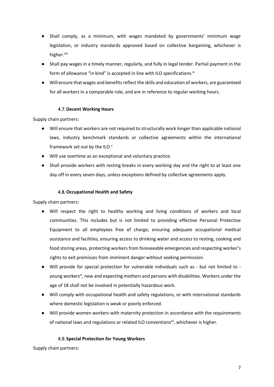- Shall comply, as a minimum, with wages mandated by governments' minimum wage legislation, or industry standards approved based on collective bargaining, whichever is higher.<sup>viii</sup>
- Shall pay wages in a timely manner, regularly, and fully in legal tender. Partial payment in the form of allowance "in kind" is accepted in line with ILO specifications. $^{\text{ix}}$
- Will ensure that wages and benefits reflect the skills and education of workers, are guaranteed for all workers in a comparable role, and are in reference to regular working hours.

# 4.7.**Decent Working Hours**

<span id="page-7-0"></span>Supply chain partners:

- Will ensure that workers are not required to structurally work longer than applicable national laws, industry benchmark standards or collective agreements within the international framework set out by the ILO.<sup>x</sup>
- Will use overtime as an exceptional and voluntary practice.
- Shall provide workers with resting breaks in every working day and the right to at least one day off in every seven days, unless exceptions defined by collective agreements apply.

#### 4.8.**Occupational Health and Safety**

<span id="page-7-1"></span>Supply chain partners:

- Will respect the right to healthy working and living conditions of workers and local communities. This includes but is not limited to providing effective Personal Protective Equipment to all employees free of charge, ensuring adequate occupational medical assistance and facilities, ensuring access to drinking water and access to resting, cooking and food storing areas, protecting workers from foreseeable emergencies and respecting worker's rights to exit premisses from imminent danger without seeking permission.
- Will provide for special protection for vulnerable individuals such as but not limited to young workers<sup>xi</sup>, new and expecting mothers and persons with disabilities. Workers under the age of 18 shall not be involved in potentially hazardous work.
- Will comply with occupational health and safety regulations, or with international standards where domestic legislation is weak or poorly enforced.
- Will provide women workers with maternity protection in accordance with the requirements of national laws and regulations or related ILO conventions<sup>xii</sup>, whichever is higher.

#### 4.9. **Special Protection for Young Workers**

<span id="page-7-2"></span>Supply chain partners: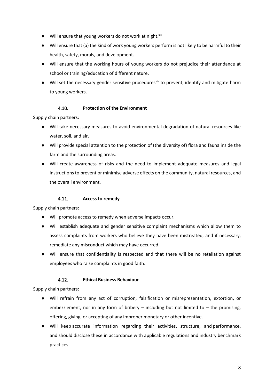- Will ensure that young workers do not work at night.  $x$ iii
- Will ensure that (a) the kind of work young workers perform is not likely to be harmful to their health, safety, morals, and development.
- Will ensure that the working hours of young workers do not prejudice their attendance at school or training/education of different nature.
- Will set the necessary gender sensitive procedures<sup>xiv</sup> to prevent, identify and mitigate harm to young workers.

# 4.10. **Protection of the Environment**

<span id="page-8-0"></span>Supply chain partners:

- Will take necessary measures to avoid environmental degradation of natural resources like water, soil, and air.
- Will provide special attention to the protection of (the diversity of) flora and fauna inside the farm and the surrounding areas.
- Will create awareness of risks and the need to implement adequate measures and legal instructions to prevent or minimise adverse effects on the community, natural resources, and the overall environment.

# 4.11. **Access to remedy**

<span id="page-8-1"></span>Supply chain partners:

- Will promote access to remedy when adverse impacts occur.
- Will establish adequate and gender sensitive complaint mechanisms which allow them to assess complaints from workers who believe they have been mistreated, and if necessary, remediate any misconduct which may have occurred.
- Will ensure that confidentiality is respected and that there will be no retaliation against employees who raise complaints in good faith.

# 4.12. **Ethical Business Behaviour**

<span id="page-8-2"></span>Supply chain partners:

- Will refrain from any act of corruption, falsification or misrepresentation, extortion, or embezzlement, nor in any form of bribery  $-$  including but not limited to  $-$  the promising, offering, giving, or accepting of any improper monetary or other incentive.
- Will keep accurate information regarding their activities, structure, and performance, and should disclose these in accordance with applicable regulations and industry benchmark practices.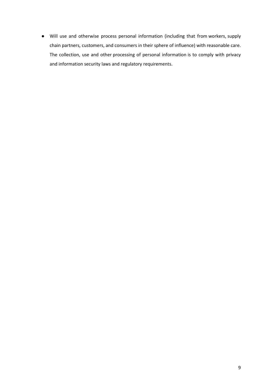● Will use and otherwise process personal information (including that from workers, supply chain partners, customers, and consumers in their sphere of influence) with reasonable care. The collection, use and other processing of personal information is to comply with privacy and information security laws and regulatory requirements.